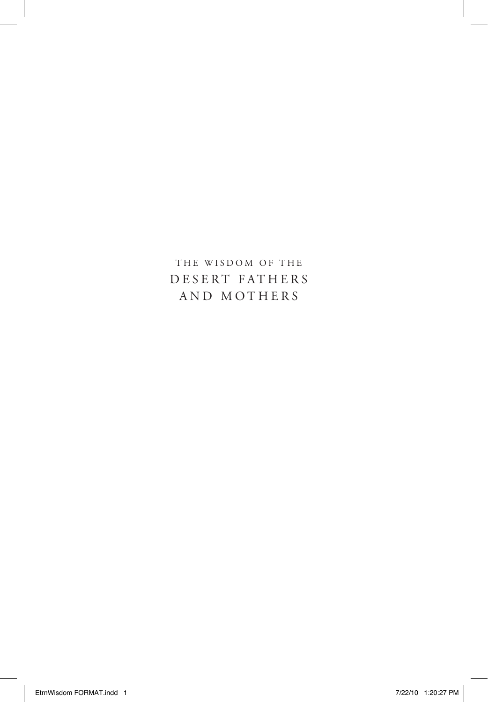THE WISDOM OF THE DESERT FATHERS and M others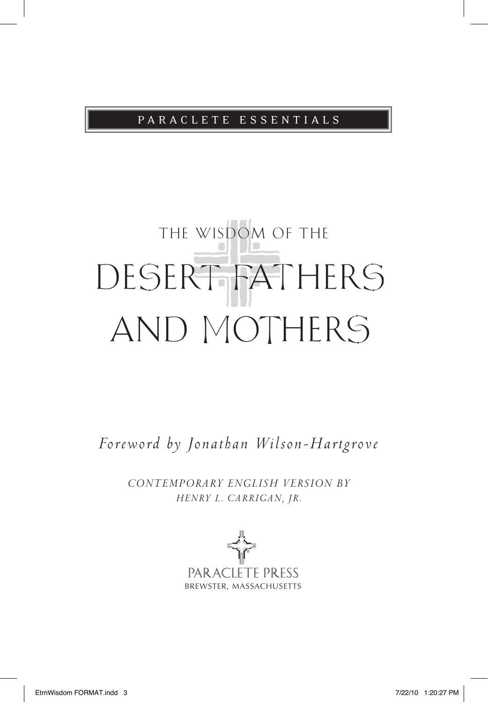PARACLETE ESSENTIALS

# the wisdom of the DESERT FATHERS AND MOTHERS

*Foreword by Jonathan Wilson-Hartgrove*

*contemporary english version by henry l. carrigan, jr.*

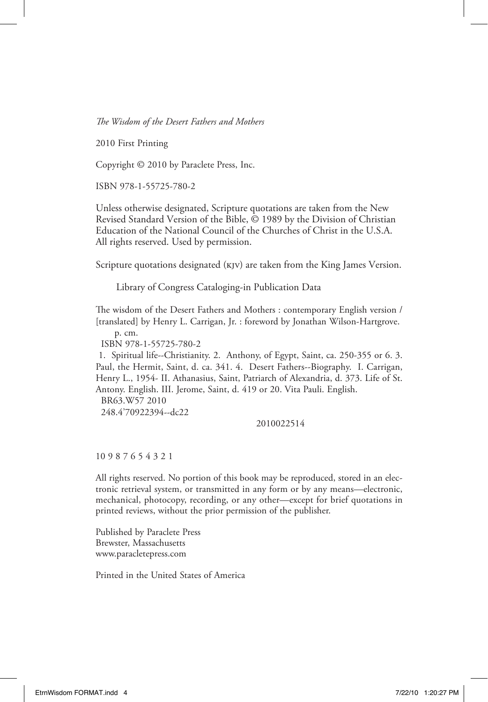*The Wisdom of the Desert Fathers and Mothers*

2010 First Printing

Copyright © 2010 by Paraclete Press, Inc.

ISBN 978-1-55725-780-2

Unless otherwise designated, Scripture quotations are taken from the New Revised Standard Version of the Bible, © 1989 by the Division of Christian Education of the National Council of the Churches of Christ in the U.S.A. All rights reserved. Used by permission.

Scripture quotations designated (KJV) are taken from the King James Version.

Library of Congress Cataloging-in Publication Data

The wisdom of the Desert Fathers and Mothers : contemporary English version / [translated] by Henry L. Carrigan, Jr. : foreword by Jonathan Wilson-Hartgrove. p. cm.

ISBN 978-1-55725-780-2

 1. Spiritual life--Christianity. 2. Anthony, of Egypt, Saint, ca. 250-355 or 6. 3. Paul, the Hermit, Saint, d. ca. 341. 4. Desert Fathers--Biography. I. Carrigan, Henry L., 1954- II. Athanasius, Saint, Patriarch of Alexandria, d. 373. Life of St. Antony. English. III. Jerome, Saint, d. 419 or 20. Vita Pauli. English. BR63.W57 2010

248.4'70922394--dc22

#### 2010022514

10 9 8 7 6 5 4 3 2 1

All rights reserved. No portion of this book may be reproduced, stored in an electronic retrieval system, or transmitted in any form or by any means—electronic, mechanical, photocopy, recording, or any other—except for brief quotations in printed reviews, without the prior permission of the publisher.

Published by Paraclete Press Brewster, Massachusetts www.paracletepress.com

Printed in the United States of America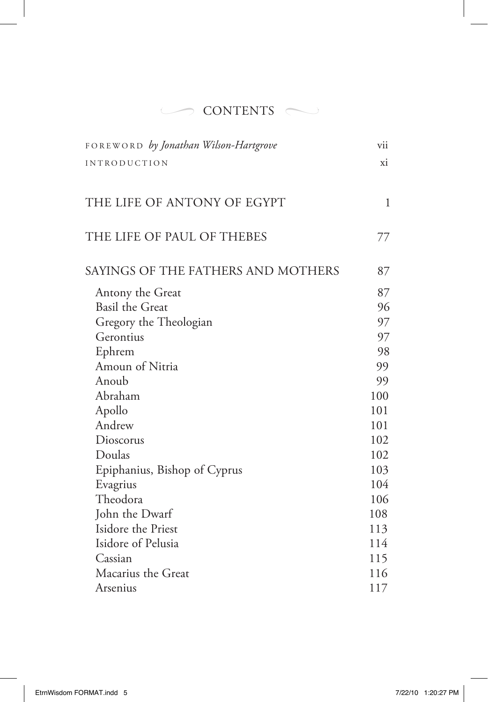| <b>CONTENTS</b> |  |
|-----------------|--|
|                 |  |

| FOREWORD by Jonathan Wilson-Hartgrove | vii |
|---------------------------------------|-----|
| <b>INTRODUCTION</b>                   | xi  |
| THE LIFE OF ANTONY OF EGYPT           | 1   |
| THE LIFE OF PAUL OF THEBES            | 77  |
| SAYINGS OF THE FATHERS AND MOTHERS    | 87  |
| Antony the Great                      | 87  |
| <b>Basil the Great</b>                | 96  |
| Gregory the Theologian                | 97  |
| Gerontius                             | 97  |
| Ephrem                                | 98  |
| Amoun of Nitria                       | 99  |
| Anoub                                 | 99  |
| Abraham                               | 100 |
| Apollo                                | 101 |
| Andrew                                | 101 |
| Dioscorus                             | 102 |
| Doulas                                | 102 |
| Epiphanius, Bishop of Cyprus          | 103 |
| Evagrius                              | 104 |
| Theodora                              | 106 |
| John the Dwarf                        | 108 |
| Isidore the Priest                    | 113 |
| Isidore of Pelusia                    | 114 |
| Cassian                               |     |
| Macarius the Great                    | 116 |
| Arsenius                              | 117 |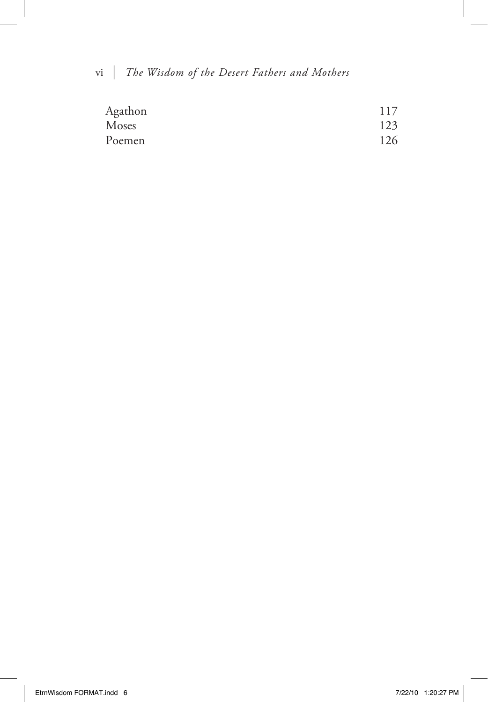| Agathon | 117 |
|---------|-----|
| Moses   | 123 |
| Poemen  | 126 |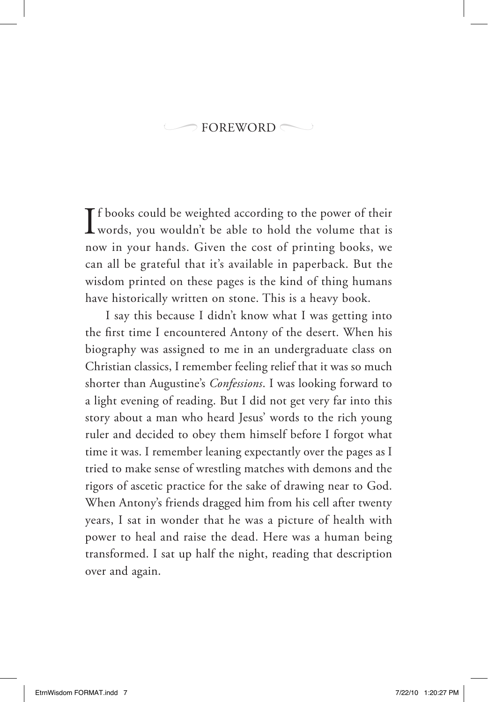## $\bigcirc$  FOREWORD

If books could be weighted according to the power of their<br>words, you wouldn't be able to hold the volume that is  $\mathbf T$  f books could be weighted according to the power of their now in your hands. Given the cost of printing books, we can all be grateful that it's available in paperback. But the wisdom printed on these pages is the kind of thing humans have historically written on stone. This is a heavy book.

I say this because I didn't know what I was getting into the first time I encountered Antony of the desert. When his biography was assigned to me in an undergraduate class on Christian classics, I remember feeling relief that it was so much shorter than Augustine's *Confessions*. I was looking forward to a light evening of reading. But I did not get very far into this story about a man who heard Jesus' words to the rich young ruler and decided to obey them himself before I forgot what time it was. I remember leaning expectantly over the pages as I tried to make sense of wrestling matches with demons and the rigors of ascetic practice for the sake of drawing near to God. When Antony's friends dragged him from his cell after twenty years, I sat in wonder that he was a picture of health with power to heal and raise the dead. Here was a human being transformed. I sat up half the night, reading that description over and again.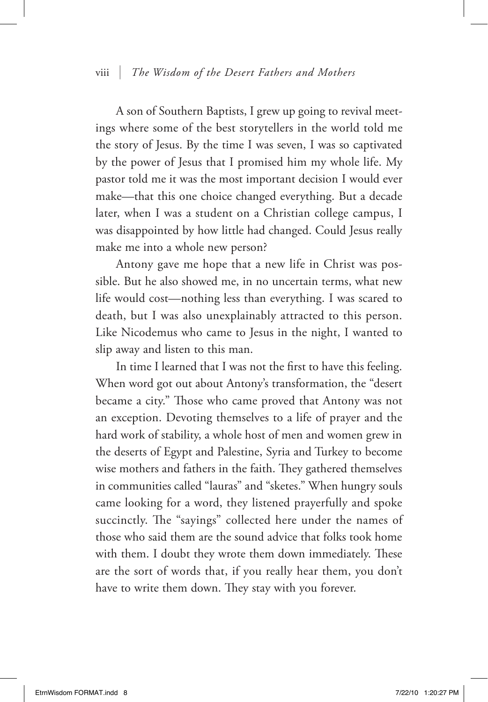A son of Southern Baptists, I grew up going to revival meetings where some of the best storytellers in the world told me the story of Jesus. By the time I was seven, I was so captivated by the power of Jesus that I promised him my whole life. My pastor told me it was the most important decision I would ever make—that this one choice changed everything. But a decade later, when I was a student on a Christian college campus, I was disappointed by how little had changed. Could Jesus really make me into a whole new person?

Antony gave me hope that a new life in Christ was possible. But he also showed me, in no uncertain terms, what new life would cost—nothing less than everything. I was scared to death, but I was also unexplainably attracted to this person. Like Nicodemus who came to Jesus in the night, I wanted to slip away and listen to this man.

In time I learned that I was not the first to have this feeling. When word got out about Antony's transformation, the "desert became a city." Those who came proved that Antony was not an exception. Devoting themselves to a life of prayer and the hard work of stability, a whole host of men and women grew in the deserts of Egypt and Palestine, Syria and Turkey to become wise mothers and fathers in the faith. They gathered themselves in communities called "lauras" and "sketes." When hungry souls came looking for a word, they listened prayerfully and spoke succinctly. The "sayings" collected here under the names of those who said them are the sound advice that folks took home with them. I doubt they wrote them down immediately. These are the sort of words that, if you really hear them, you don't have to write them down. They stay with you forever.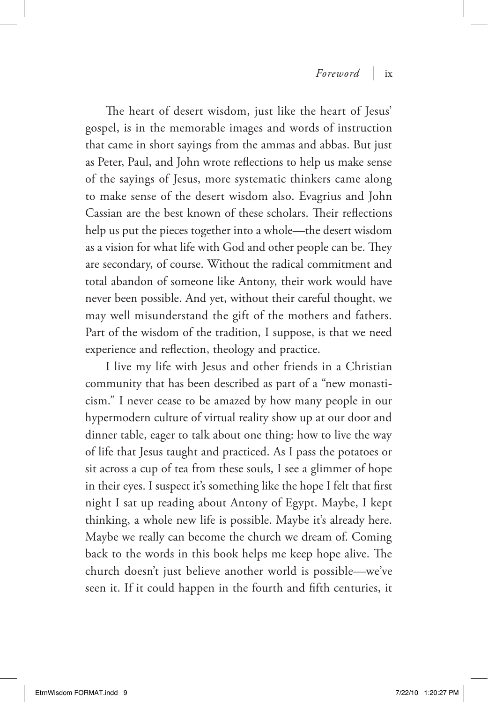The heart of desert wisdom, just like the heart of Jesus' gospel, is in the memorable images and words of instruction that came in short sayings from the ammas and abbas. But just as Peter, Paul, and John wrote reflections to help us make sense of the sayings of Jesus, more systematic thinkers came along to make sense of the desert wisdom also. Evagrius and John Cassian are the best known of these scholars. Their reflections help us put the pieces together into a whole—the desert wisdom as a vision for what life with God and other people can be. They are secondary, of course. Without the radical commitment and total abandon of someone like Antony, their work would have never been possible. And yet, without their careful thought, we may well misunderstand the gift of the mothers and fathers. Part of the wisdom of the tradition, I suppose, is that we need experience and reflection, theology and practice.

I live my life with Jesus and other friends in a Christian community that has been described as part of a "new monasticism." I never cease to be amazed by how many people in our hypermodern culture of virtual reality show up at our door and dinner table, eager to talk about one thing: how to live the way of life that Jesus taught and practiced. As I pass the potatoes or sit across a cup of tea from these souls, I see a glimmer of hope in their eyes. I suspect it's something like the hope I felt that first night I sat up reading about Antony of Egypt. Maybe, I kept thinking, a whole new life is possible. Maybe it's already here. Maybe we really can become the church we dream of. Coming back to the words in this book helps me keep hope alive. The church doesn't just believe another world is possible—we've seen it. If it could happen in the fourth and fifth centuries, it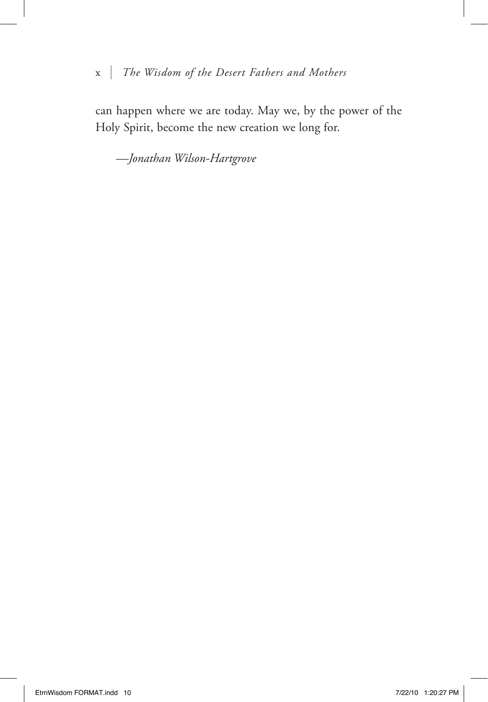can happen where we are today. May we, by the power of the Holy Spirit, become the new creation we long for.

*—Jonathan Wilson-Hartgrove*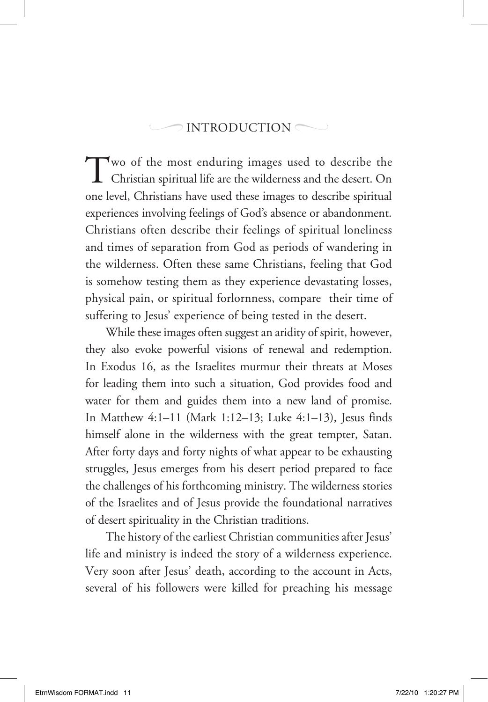## $\bigcirc$  INTRODUCTION

Two of the most enduring images used to describe the Christian spiritual life are the wilderness and the desert. On one level, Christians have used these images to describe spiritual experiences involving feelings of God's absence or abandonment. Christians often describe their feelings of spiritual loneliness and times of separation from God as periods of wandering in the wilderness. Often these same Christians, feeling that God is somehow testing them as they experience devastating losses, physical pain, or spiritual forlornness, compare their time of suffering to Jesus' experience of being tested in the desert.

While these images often suggest an aridity of spirit, however, they also evoke powerful visions of renewal and redemption. In Exodus 16, as the Israelites murmur their threats at Moses for leading them into such a situation, God provides food and water for them and guides them into a new land of promise. In Matthew 4:1–11 (Mark 1:12–13; Luke 4:1–13), Jesus finds himself alone in the wilderness with the great tempter, Satan. After forty days and forty nights of what appear to be exhausting struggles, Jesus emerges from his desert period prepared to face the challenges of his forthcoming ministry. The wilderness stories of the Israelites and of Jesus provide the foundational narratives of desert spirituality in the Christian traditions.

The history of the earliest Christian communities after Jesus' life and ministry is indeed the story of a wilderness experience. Very soon after Jesus' death, according to the account in Acts, several of his followers were killed for preaching his message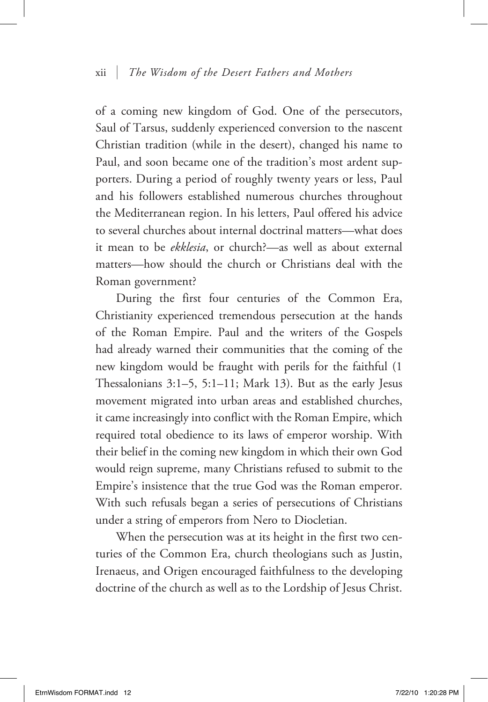of a coming new kingdom of God. One of the persecutors, Saul of Tarsus, suddenly experienced conversion to the nascent Christian tradition (while in the desert), changed his name to Paul, and soon became one of the tradition's most ardent supporters. During a period of roughly twenty years or less, Paul and his followers established numerous churches throughout the Mediterranean region. In his letters, Paul offered his advice to several churches about internal doctrinal matters—what does it mean to be *ekklesia*, or church?—as well as about external matters—how should the church or Christians deal with the Roman government?

During the first four centuries of the Common Era, Christianity experienced tremendous persecution at the hands of the Roman Empire. Paul and the writers of the Gospels had already warned their communities that the coming of the new kingdom would be fraught with perils for the faithful (1 Thessalonians 3:1–5, 5:1–11; Mark 13). But as the early Jesus movement migrated into urban areas and established churches, it came increasingly into conflict with the Roman Empire, which required total obedience to its laws of emperor worship. With their belief in the coming new kingdom in which their own God would reign supreme, many Christians refused to submit to the Empire's insistence that the true God was the Roman emperor. With such refusals began a series of persecutions of Christians under a string of emperors from Nero to Diocletian.

When the persecution was at its height in the first two centuries of the Common Era, church theologians such as Justin, Irenaeus, and Origen encouraged faithfulness to the developing doctrine of the church as well as to the Lordship of Jesus Christ.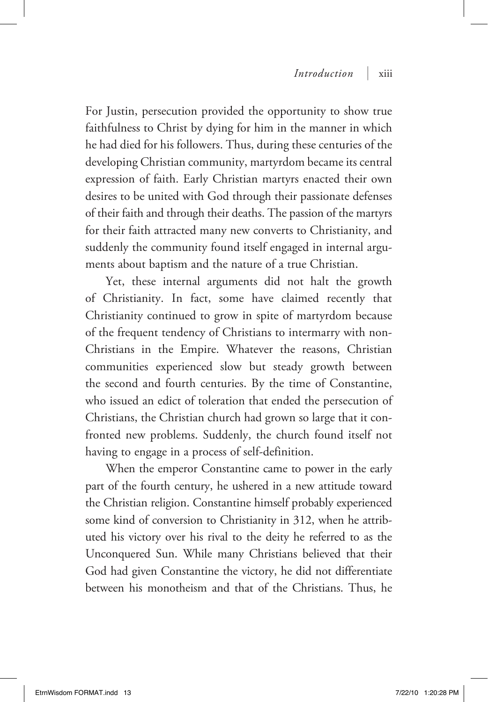For Justin, persecution provided the opportunity to show true faithfulness to Christ by dying for him in the manner in which he had died for his followers. Thus, during these centuries of the developing Christian community, martyrdom became its central expression of faith. Early Christian martyrs enacted their own desires to be united with God through their passionate defenses of their faith and through their deaths. The passion of the martyrs for their faith attracted many new converts to Christianity, and suddenly the community found itself engaged in internal arguments about baptism and the nature of a true Christian.

Yet, these internal arguments did not halt the growth of Christianity. In fact, some have claimed recently that Christianity continued to grow in spite of martyrdom because of the frequent tendency of Christians to intermarry with non-Christians in the Empire. Whatever the reasons, Christian communities experienced slow but steady growth between the second and fourth centuries. By the time of Constantine, who issued an edict of toleration that ended the persecution of Christians, the Christian church had grown so large that it confronted new problems. Suddenly, the church found itself not having to engage in a process of self-definition.

When the emperor Constantine came to power in the early part of the fourth century, he ushered in a new attitude toward the Christian religion. Constantine himself probably experienced some kind of conversion to Christianity in 312, when he attributed his victory over his rival to the deity he referred to as the Unconquered Sun. While many Christians believed that their God had given Constantine the victory, he did not differentiate between his monotheism and that of the Christians. Thus, he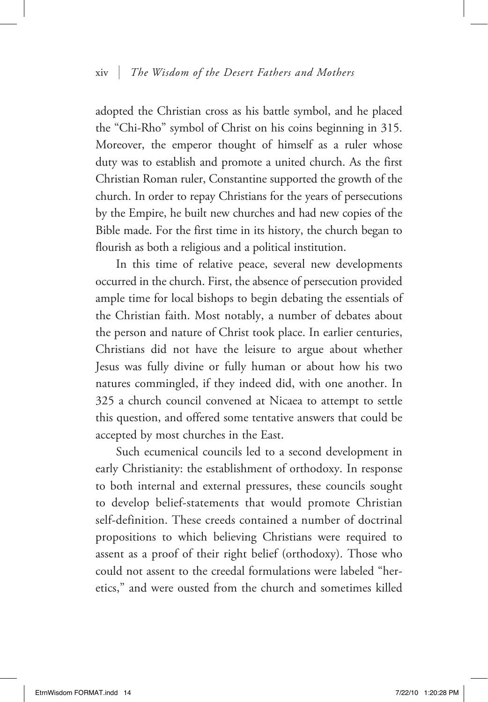adopted the Christian cross as his battle symbol, and he placed the "Chi-Rho" symbol of Christ on his coins beginning in 315. Moreover, the emperor thought of himself as a ruler whose duty was to establish and promote a united church. As the first Christian Roman ruler, Constantine supported the growth of the church. In order to repay Christians for the years of persecutions by the Empire, he built new churches and had new copies of the Bible made. For the first time in its history, the church began to flourish as both a religious and a political institution.

In this time of relative peace, several new developments occurred in the church. First, the absence of persecution provided ample time for local bishops to begin debating the essentials of the Christian faith. Most notably, a number of debates about the person and nature of Christ took place. In earlier centuries, Christians did not have the leisure to argue about whether Jesus was fully divine or fully human or about how his two natures commingled, if they indeed did, with one another. In 325 a church council convened at Nicaea to attempt to settle this question, and offered some tentative answers that could be accepted by most churches in the East.

Such ecumenical councils led to a second development in early Christianity: the establishment of orthodoxy. In response to both internal and external pressures, these councils sought to develop belief-statements that would promote Christian self-definition. These creeds contained a number of doctrinal propositions to which believing Christians were required to assent as a proof of their right belief (orthodoxy). Those who could not assent to the creedal formulations were labeled "heretics," and were ousted from the church and sometimes killed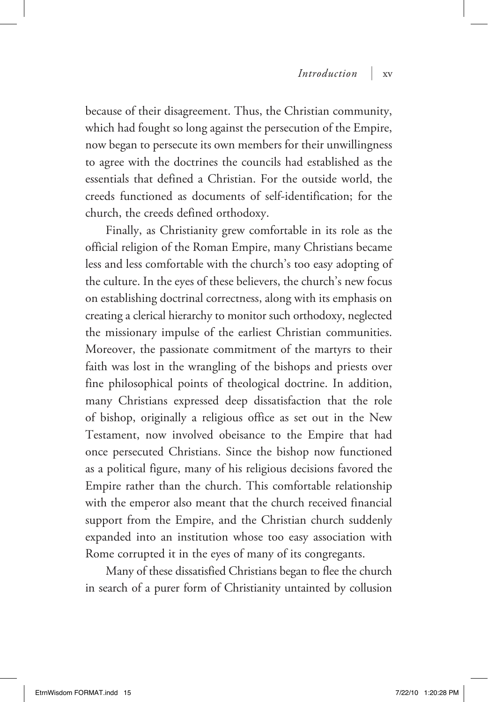because of their disagreement. Thus, the Christian community, which had fought so long against the persecution of the Empire, now began to persecute its own members for their unwillingness to agree with the doctrines the councils had established as the essentials that defined a Christian. For the outside world, the creeds functioned as documents of self-identification; for the church, the creeds defined orthodoxy.

Finally, as Christianity grew comfortable in its role as the official religion of the Roman Empire, many Christians became less and less comfortable with the church's too easy adopting of the culture. In the eyes of these believers, the church's new focus on establishing doctrinal correctness, along with its emphasis on creating a clerical hierarchy to monitor such orthodoxy, neglected the missionary impulse of the earliest Christian communities. Moreover, the passionate commitment of the martyrs to their faith was lost in the wrangling of the bishops and priests over fine philosophical points of theological doctrine. In addition, many Christians expressed deep dissatisfaction that the role of bishop, originally a religious office as set out in the New Testament, now involved obeisance to the Empire that had once persecuted Christians. Since the bishop now functioned as a political figure, many of his religious decisions favored the Empire rather than the church. This comfortable relationship with the emperor also meant that the church received financial support from the Empire, and the Christian church suddenly expanded into an institution whose too easy association with Rome corrupted it in the eyes of many of its congregants.

Many of these dissatisfied Christians began to flee the church in search of a purer form of Christianity untainted by collusion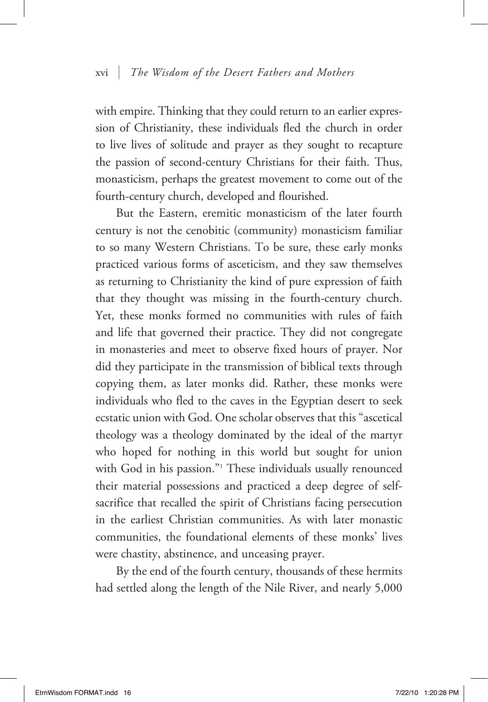with empire. Thinking that they could return to an earlier expression of Christianity, these individuals fled the church in order to live lives of solitude and prayer as they sought to recapture the passion of second-century Christians for their faith. Thus, monasticism, perhaps the greatest movement to come out of the fourth-century church, developed and flourished.

But the Eastern, eremitic monasticism of the later fourth century is not the cenobitic (community) monasticism familiar to so many Western Christians. To be sure, these early monks practiced various forms of asceticism, and they saw themselves as returning to Christianity the kind of pure expression of faith that they thought was missing in the fourth-century church. Yet, these monks formed no communities with rules of faith and life that governed their practice. They did not congregate in monasteries and meet to observe fixed hours of prayer. Nor did they participate in the transmission of biblical texts through copying them, as later monks did. Rather, these monks were individuals who fled to the caves in the Egyptian desert to seek ecstatic union with God. One scholar observes that this "ascetical theology was a theology dominated by the ideal of the martyr who hoped for nothing in this world but sought for union with God in his passion."<sup>1</sup> These individuals usually renounced their material possessions and practiced a deep degree of selfsacrifice that recalled the spirit of Christians facing persecution in the earliest Christian communities. As with later monastic communities, the foundational elements of these monks' lives were chastity, abstinence, and unceasing prayer.

By the end of the fourth century, thousands of these hermits had settled along the length of the Nile River, and nearly 5,000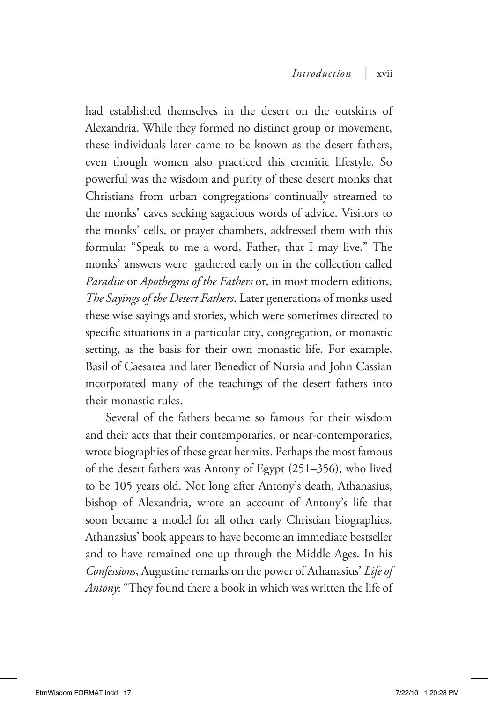had established themselves in the desert on the outskirts of Alexandria. While they formed no distinct group or movement, these individuals later came to be known as the desert fathers, even though women also practiced this eremitic lifestyle. So powerful was the wisdom and purity of these desert monks that Christians from urban congregations continually streamed to the monks' caves seeking sagacious words of advice. Visitors to the monks' cells, or prayer chambers, addressed them with this formula: "Speak to me a word, Father, that I may live." The monks' answers were gathered early on in the collection called *Paradise* or *Apothegms of the Fathers* or, in most modern editions, *The Sayings of the Desert Fathers*. Later generations of monks used these wise sayings and stories, which were sometimes directed to specific situations in a particular city, congregation, or monastic setting, as the basis for their own monastic life. For example, Basil of Caesarea and later Benedict of Nursia and John Cassian incorporated many of the teachings of the desert fathers into their monastic rules.

Several of the fathers became so famous for their wisdom and their acts that their contemporaries, or near-contemporaries, wrote biographies of these great hermits. Perhaps the most famous of the desert fathers was Antony of Egypt (251–356), who lived to be 105 years old. Not long after Antony's death, Athanasius, bishop of Alexandria, wrote an account of Antony's life that soon became a model for all other early Christian biographies. Athanasius' book appears to have become an immediate bestseller and to have remained one up through the Middle Ages. In his *Confessions*, Augustine remarks on the power of Athanasius' *Life of Antony*: "They found there a book in which was written the life of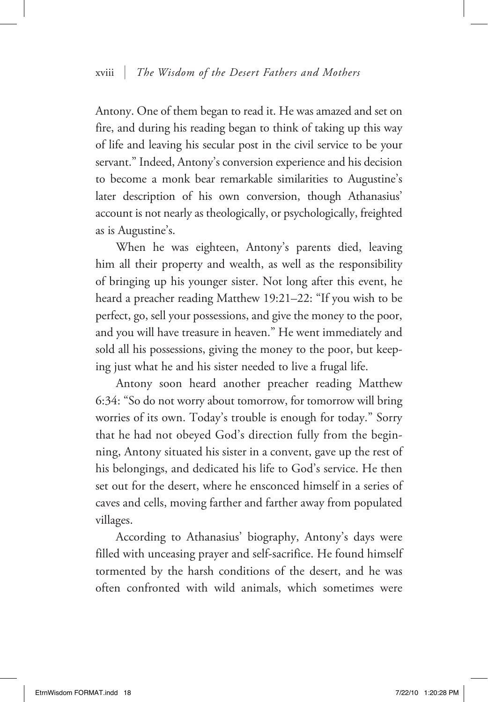Antony. One of them began to read it. He was amazed and set on fire, and during his reading began to think of taking up this way of life and leaving his secular post in the civil service to be your servant." Indeed, Antony's conversion experience and his decision to become a monk bear remarkable similarities to Augustine's later description of his own conversion, though Athanasius' account is not nearly as theologically, or psychologically, freighted as is Augustine's.

When he was eighteen, Antony's parents died, leaving him all their property and wealth, as well as the responsibility of bringing up his younger sister. Not long after this event, he heard a preacher reading Matthew 19:21–22: "If you wish to be perfect, go, sell your possessions, and give the money to the poor, and you will have treasure in heaven." He went immediately and sold all his possessions, giving the money to the poor, but keeping just what he and his sister needed to live a frugal life.

Antony soon heard another preacher reading Matthew 6:34: "So do not worry about tomorrow, for tomorrow will bring worries of its own. Today's trouble is enough for today." Sorry that he had not obeyed God's direction fully from the beginning, Antony situated his sister in a convent, gave up the rest of his belongings, and dedicated his life to God's service. He then set out for the desert, where he ensconced himself in a series of caves and cells, moving farther and farther away from populated villages.

According to Athanasius' biography, Antony's days were filled with unceasing prayer and self-sacrifice. He found himself tormented by the harsh conditions of the desert, and he was often confronted with wild animals, which sometimes were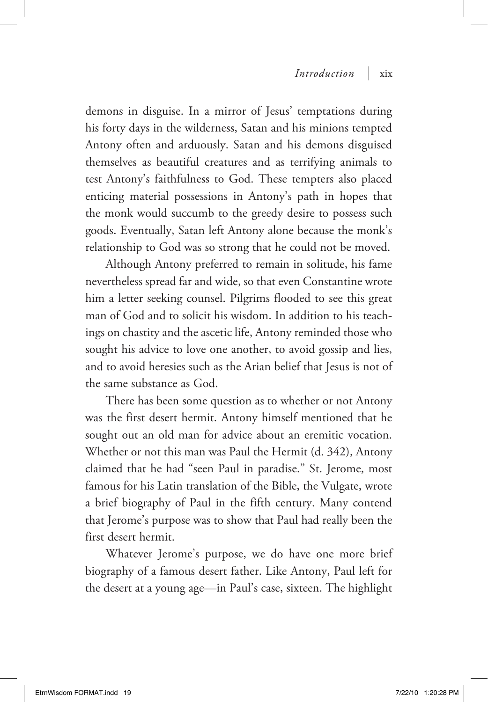demons in disguise. In a mirror of Jesus' temptations during his forty days in the wilderness, Satan and his minions tempted Antony often and arduously. Satan and his demons disguised themselves as beautiful creatures and as terrifying animals to test Antony's faithfulness to God. These tempters also placed enticing material possessions in Antony's path in hopes that the monk would succumb to the greedy desire to possess such goods. Eventually, Satan left Antony alone because the monk's relationship to God was so strong that he could not be moved.

Although Antony preferred to remain in solitude, his fame nevertheless spread far and wide, so that even Constantine wrote him a letter seeking counsel. Pilgrims flooded to see this great man of God and to solicit his wisdom. In addition to his teachings on chastity and the ascetic life, Antony reminded those who sought his advice to love one another, to avoid gossip and lies, and to avoid heresies such as the Arian belief that Jesus is not of the same substance as God.

There has been some question as to whether or not Antony was the first desert hermit. Antony himself mentioned that he sought out an old man for advice about an eremitic vocation. Whether or not this man was Paul the Hermit (d. 342), Antony claimed that he had "seen Paul in paradise." St. Jerome, most famous for his Latin translation of the Bible, the Vulgate, wrote a brief biography of Paul in the fifth century. Many contend that Jerome's purpose was to show that Paul had really been the first desert hermit.

Whatever Jerome's purpose, we do have one more brief biography of a famous desert father. Like Antony, Paul left for the desert at a young age—in Paul's case, sixteen. The highlight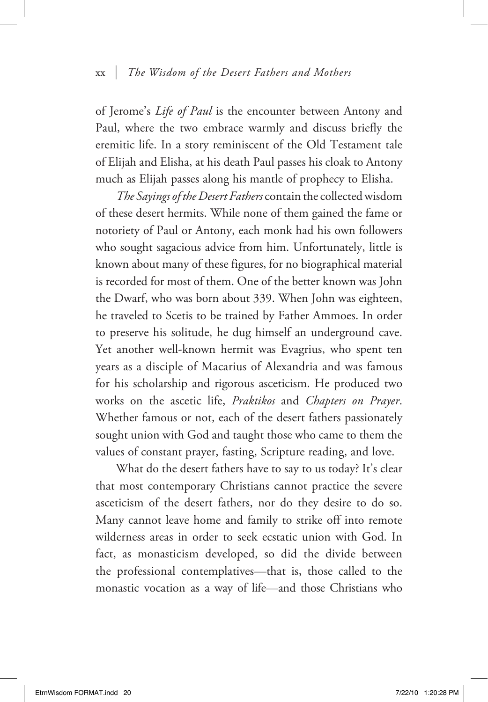of Jerome's *Life of Paul* is the encounter between Antony and Paul, where the two embrace warmly and discuss briefly the eremitic life. In a story reminiscent of the Old Testament tale of Elijah and Elisha, at his death Paul passes his cloak to Antony much as Elijah passes along his mantle of prophecy to Elisha.

*The Sayings of the Desert Fathers* contain the collected wisdom of these desert hermits. While none of them gained the fame or notoriety of Paul or Antony, each monk had his own followers who sought sagacious advice from him. Unfortunately, little is known about many of these figures, for no biographical material is recorded for most of them. One of the better known was John the Dwarf, who was born about 339. When John was eighteen, he traveled to Scetis to be trained by Father Ammoes. In order to preserve his solitude, he dug himself an underground cave. Yet another well-known hermit was Evagrius, who spent ten years as a disciple of Macarius of Alexandria and was famous for his scholarship and rigorous asceticism. He produced two works on the ascetic life, *Praktikos* and *Chapters on Prayer*. Whether famous or not, each of the desert fathers passionately sought union with God and taught those who came to them the values of constant prayer, fasting, Scripture reading, and love.

What do the desert fathers have to say to us today? It's clear that most contemporary Christians cannot practice the severe asceticism of the desert fathers, nor do they desire to do so. Many cannot leave home and family to strike off into remote wilderness areas in order to seek ecstatic union with God. In fact, as monasticism developed, so did the divide between the professional contemplatives—that is, those called to the monastic vocation as a way of life—and those Christians who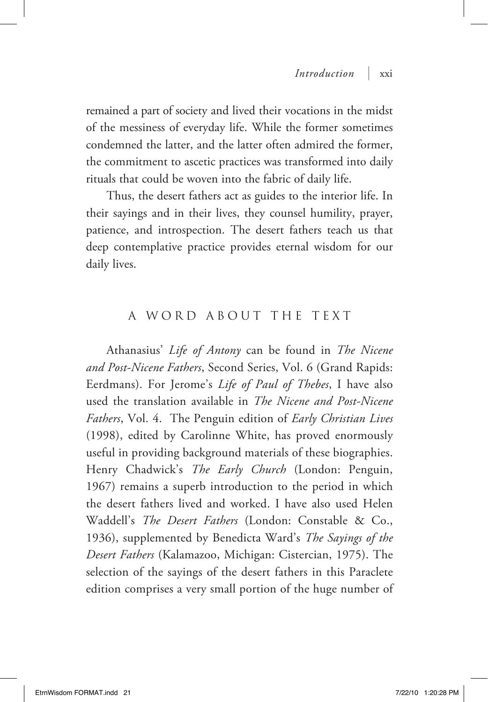remained a part of society and lived their vocations in the midst of the messiness of everyday life. While the former sometimes condemned the latter, and the latter often admired the former, the commitment to ascetic practices was transformed into daily rituals that could be woven into the fabric of daily life.

Thus, the desert fathers act as guides to the interior life. In their sayings and in their lives, they counsel humility, prayer, patience, and introspection. The desert fathers teach us that deep contemplative practice provides eternal wisdom for our daily lives.

### A Word About the Text

Athanasius' *Life of Antony* can be found in *The Nicene and Post-Nicene Fathers*, Second Series, Vol. 6 (Grand Rapids: Eerdmans). For Jerome's *Life of Paul of Thebes*, I have also used the translation available in *The Nicene and Post-Nicene Fathers*, Vol. 4. The Penguin edition of *Early Christian Lives* (1998), edited by Carolinne White, has proved enormously useful in providing background materials of these biographies. Henry Chadwick's *The Early Church* (London: Penguin, 1967) remains a superb introduction to the period in which the desert fathers lived and worked. I have also used Helen Waddell's *The Desert Fathers* (London: Constable & Co., 1936), supplemented by Benedicta Ward's *The Sayings of the Desert Fathers* (Kalamazoo, Michigan: Cistercian, 1975). The selection of the sayings of the desert fathers in this Paraclete edition comprises a very small portion of the huge number of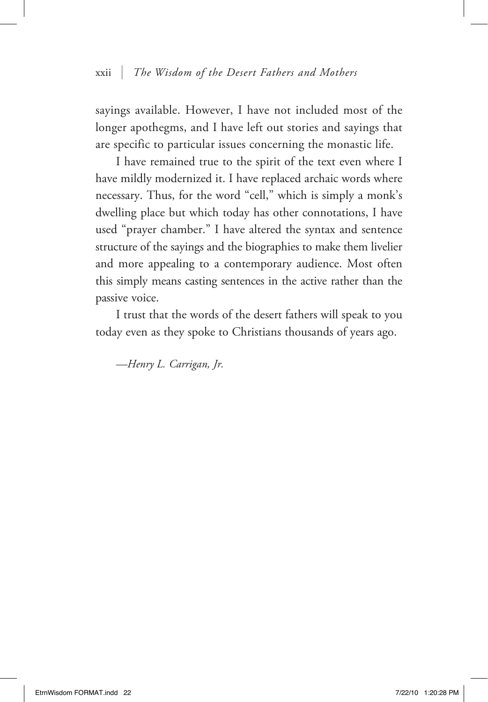sayings available. However, I have not included most of the longer apothegms, and I have left out stories and sayings that are specific to particular issues concerning the monastic life.

I have remained true to the spirit of the text even where I have mildly modernized it. I have replaced archaic words where necessary. Thus, for the word "cell," which is simply a monk's dwelling place but which today has other connotations, I have used "prayer chamber." I have altered the syntax and sentence structure of the sayings and the biographies to make them livelier and more appealing to a contemporary audience. Most often this simply means casting sentences in the active rather than the passive voice.

I trust that the words of the desert fathers will speak to you today even as they spoke to Christians thousands of years ago.

*—Henry L. Carrigan, Jr.*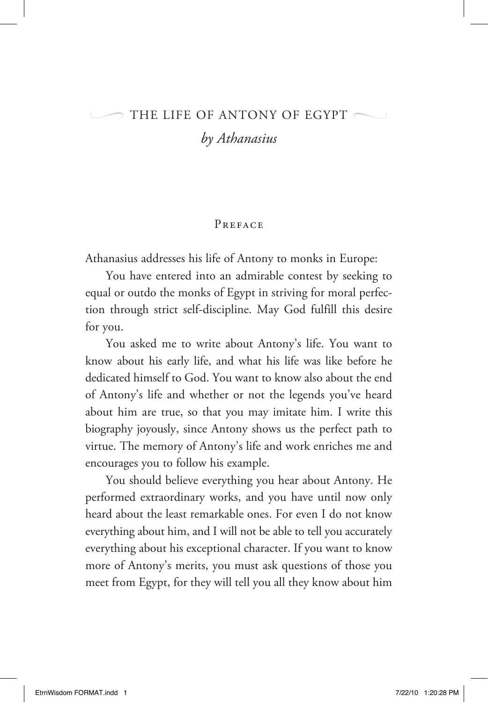### THE LIFE OF ANTONY OF EGYPT *by Athanasius*

#### Preface

Athanasius addresses his life of Antony to monks in Europe:

You have entered into an admirable contest by seeking to equal or outdo the monks of Egypt in striving for moral perfection through strict self-discipline. May God fulfill this desire for you.

You asked me to write about Antony's life. You want to know about his early life, and what his life was like before he dedicated himself to God. You want to know also about the end of Antony's life and whether or not the legends you've heard about him are true, so that you may imitate him. I write this biography joyously, since Antony shows us the perfect path to virtue. The memory of Antony's life and work enriches me and encourages you to follow his example.

You should believe everything you hear about Antony. He performed extraordinary works, and you have until now only heard about the least remarkable ones. For even I do not know everything about him, and I will not be able to tell you accurately everything about his exceptional character. If you want to know more of Antony's merits, you must ask questions of those you meet from Egypt, for they will tell you all they know about him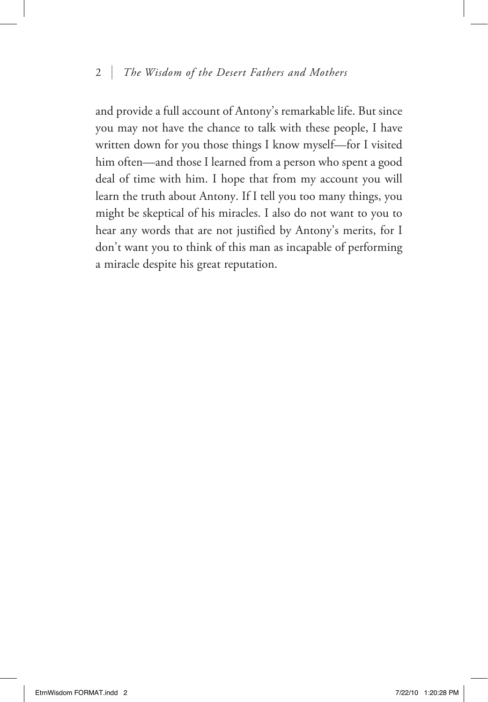and provide a full account of Antony's remarkable life. But since you may not have the chance to talk with these people, I have written down for you those things I know myself—for I visited him often—and those I learned from a person who spent a good deal of time with him. I hope that from my account you will learn the truth about Antony. If I tell you too many things, you might be skeptical of his miracles. I also do not want to you to hear any words that are not justified by Antony's merits, for I don't want you to think of this man as incapable of performing a miracle despite his great reputation.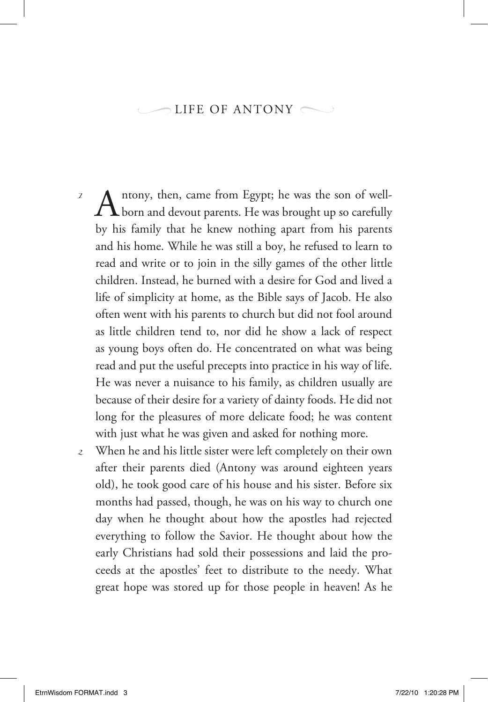## $\bigcirc$ LIFE OF ANTONY

- Antony, then, came from Egypt; he was the son of well- $\bigcap$  born and devout parents. He was brought up so carefully by his family that he knew nothing apart from his parents and his home. While he was still a boy, he refused to learn to read and write or to join in the silly games of the other little children. Instead, he burned with a desire for God and lived a life of simplicity at home, as the Bible says of Jacob. He also often went with his parents to church but did not fool around as little children tend to, nor did he show a lack of respect as young boys often do. He concentrated on what was being read and put the useful precepts into practice in his way of life. He was never a nuisance to his family, as children usually are because of their desire for a variety of dainty foods. He did not long for the pleasures of more delicate food; he was content with just what he was given and asked for nothing more.  $\overline{1}$
- 2 When he and his little sister were left completely on their own after their parents died (Antony was around eighteen years old), he took good care of his house and his sister. Before six months had passed, though, he was on his way to church one day when he thought about how the apostles had rejected everything to follow the Savior. He thought about how the early Christians had sold their possessions and laid the proceeds at the apostles' feet to distribute to the needy. What great hope was stored up for those people in heaven! As he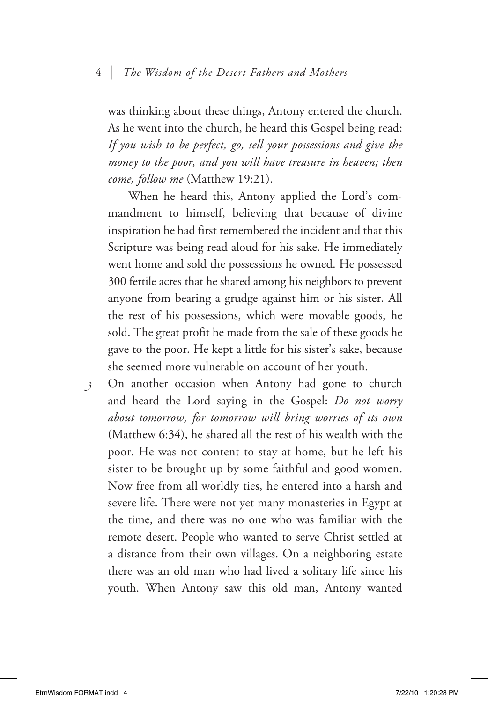was thinking about these things, Antony entered the church. As he went into the church, he heard this Gospel being read: *If you wish to be perfect, go, sell your possessions and give the money to the poor, and you will have treasure in heaven; then come, follow me* (Matthew 19:21).

When he heard this, Antony applied the Lord's commandment to himself, believing that because of divine inspiration he had first remembered the incident and that this Scripture was being read aloud for his sake. He immediately went home and sold the possessions he owned. He possessed 300 fertile acres that he shared among his neighbors to prevent anyone from bearing a grudge against him or his sister. All the rest of his possessions, which were movable goods, he sold. The great profit he made from the sale of these goods he gave to the poor. He kept a little for his sister's sake, because she seemed more vulnerable on account of her youth.

3 On another occasion when Antony had gone to church and heard the Lord saying in the Gospel: *Do not worry about tomorrow, for tomorrow will bring worries of its own*  (Matthew 6:34), he shared all the rest of his wealth with the poor. He was not content to stay at home, but he left his sister to be brought up by some faithful and good women. Now free from all worldly ties, he entered into a harsh and severe life. There were not yet many monasteries in Egypt at the time, and there was no one who was familiar with the remote desert. People who wanted to serve Christ settled at a distance from their own villages. On a neighboring estate there was an old man who had lived a solitary life since his youth. When Antony saw this old man, Antony wanted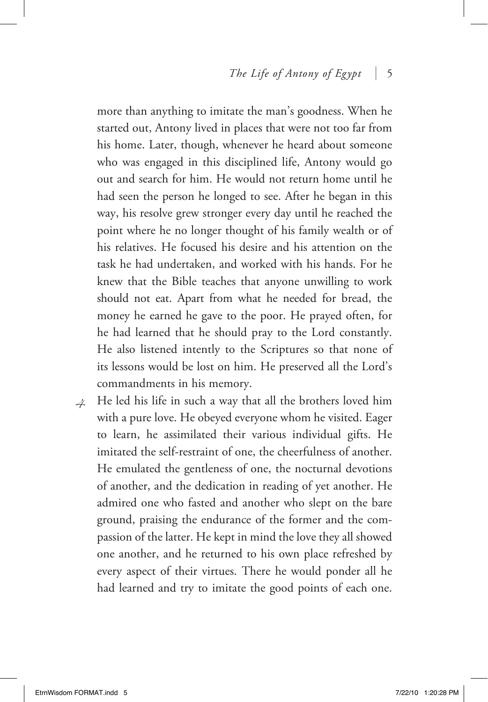more than anything to imitate the man's goodness. When he started out, Antony lived in places that were not too far from his home. Later, though, whenever he heard about someone who was engaged in this disciplined life, Antony would go out and search for him. He would not return home until he had seen the person he longed to see. After he began in this way, his resolve grew stronger every day until he reached the point where he no longer thought of his family wealth or of his relatives. He focused his desire and his attention on the task he had undertaken, and worked with his hands. For he knew that the Bible teaches that anyone unwilling to work should not eat. Apart from what he needed for bread, the money he earned he gave to the poor. He prayed often, for he had learned that he should pray to the Lord constantly. He also listened intently to the Scriptures so that none of its lessons would be lost on him. He preserved all the Lord's commandments in his memory.

 $\angle\!\!\!\perp$  He led his life in such a way that all the brothers loved him with a pure love. He obeyed everyone whom he visited. Eager to learn, he assimilated their various individual gifts. He imitated the self-restraint of one, the cheerfulness of another. He emulated the gentleness of one, the nocturnal devotions of another, and the dedication in reading of yet another. He admired one who fasted and another who slept on the bare ground, praising the endurance of the former and the compassion of the latter. He kept in mind the love they all showed one another, and he returned to his own place refreshed by every aspect of their virtues. There he would ponder all he had learned and try to imitate the good points of each one.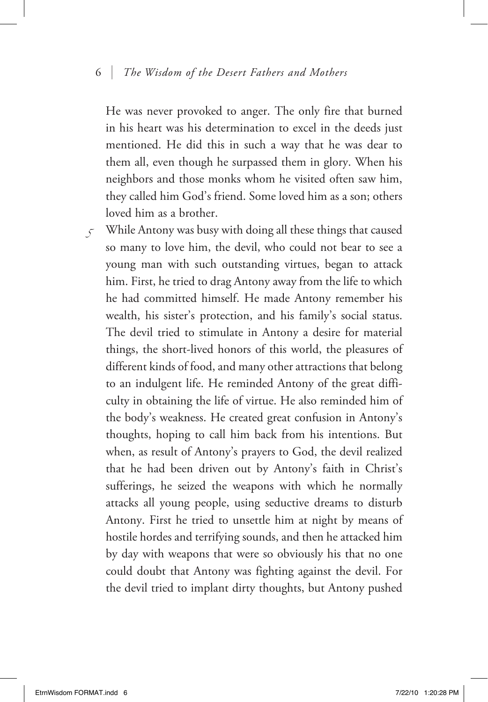He was never provoked to anger. The only fire that burned in his heart was his determination to excel in the deeds just mentioned. He did this in such a way that he was dear to them all, even though he surpassed them in glory. When his neighbors and those monks whom he visited often saw him, they called him God's friend. Some loved him as a son; others loved him as a brother.

 $\zeta$  While Antony was busy with doing all these things that caused so many to love him, the devil, who could not bear to see a young man with such outstanding virtues, began to attack him. First, he tried to drag Antony away from the life to which he had committed himself. He made Antony remember his wealth, his sister's protection, and his family's social status. The devil tried to stimulate in Antony a desire for material things, the short-lived honors of this world, the pleasures of different kinds of food, and many other attractions that belong to an indulgent life. He reminded Antony of the great difficulty in obtaining the life of virtue. He also reminded him of the body's weakness. He created great confusion in Antony's thoughts, hoping to call him back from his intentions. But when, as result of Antony's prayers to God, the devil realized that he had been driven out by Antony's faith in Christ's sufferings, he seized the weapons with which he normally attacks all young people, using seductive dreams to disturb Antony. First he tried to unsettle him at night by means of hostile hordes and terrifying sounds, and then he attacked him by day with weapons that were so obviously his that no one could doubt that Antony was fighting against the devil. For the devil tried to implant dirty thoughts, but Antony pushed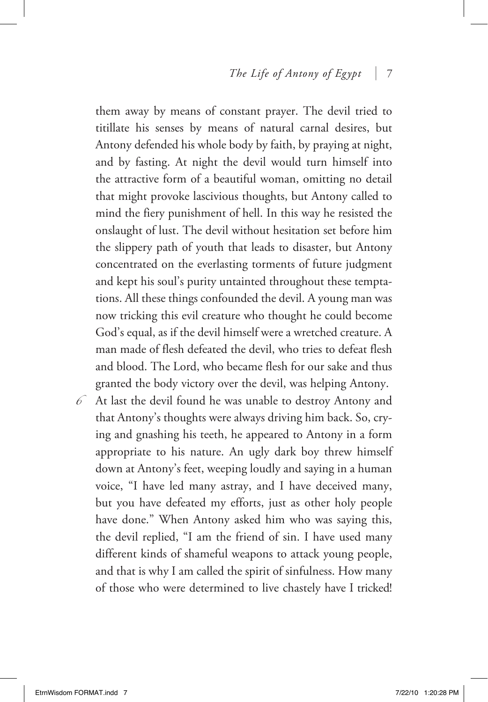them away by means of constant prayer. The devil tried to titillate his senses by means of natural carnal desires, but Antony defended his whole body by faith, by praying at night, and by fasting. At night the devil would turn himself into the attractive form of a beautiful woman, omitting no detail that might provoke lascivious thoughts, but Antony called to mind the fiery punishment of hell. In this way he resisted the onslaught of lust. The devil without hesitation set before him the slippery path of youth that leads to disaster, but Antony concentrated on the everlasting torments of future judgment and kept his soul's purity untainted throughout these temptations. All these things confounded the devil. A young man was now tricking this evil creature who thought he could become God's equal, as if the devil himself were a wretched creature. A man made of flesh defeated the devil, who tries to defeat flesh and blood. The Lord, who became flesh for our sake and thus granted the body victory over the devil, was helping Antony.

 $6<sup>7</sup>$  At last the devil found he was unable to destroy Antony and that Antony's thoughts were always driving him back. So, crying and gnashing his teeth, he appeared to Antony in a form appropriate to his nature. An ugly dark boy threw himself down at Antony's feet, weeping loudly and saying in a human voice, "I have led many astray, and I have deceived many, but you have defeated my efforts, just as other holy people have done." When Antony asked him who was saying this, the devil replied, "I am the friend of sin. I have used many different kinds of shameful weapons to attack young people, and that is why I am called the spirit of sinfulness. How many of those who were determined to live chastely have I tricked!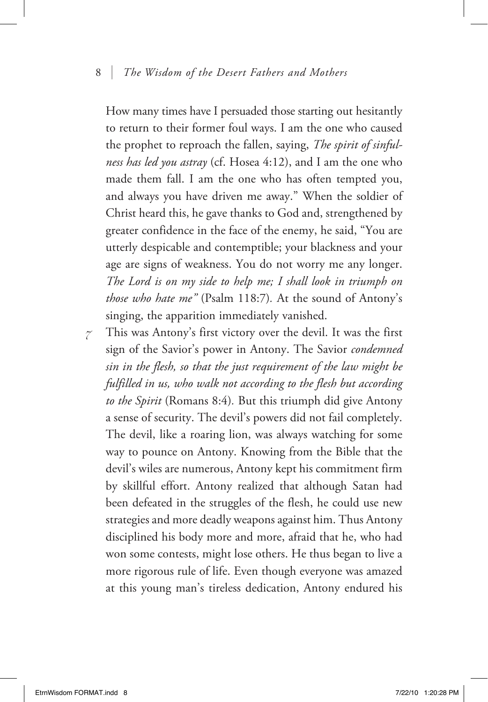How many times have I persuaded those starting out hesitantly to return to their former foul ways. I am the one who caused the prophet to reproach the fallen, saying, *The spirit of sinfulness has led you astray* (cf. Hosea 4:12), and I am the one who made them fall. I am the one who has often tempted you, and always you have driven me away." When the soldier of Christ heard this, he gave thanks to God and, strengthened by greater confidence in the face of the enemy, he said, "You are utterly despicable and contemptible; your blackness and your age are signs of weakness. You do not worry me any longer. *The Lord is on my side to help me; I shall look in triumph on those who hate me"* (Psalm 118:7)*.* At the sound of Antony's singing, the apparition immediately vanished.

 $\gamma$  This was Antony's first victory over the devil. It was the first sign of the Savior's power in Antony. The Savior *condemned sin in the flesh, so that the just requirement of the law might be fulfilled in us, who walk not according to the flesh but according to the Spirit* (Romans 8:4)*.* But this triumph did give Antony a sense of security. The devil's powers did not fail completely. The devil, like a roaring lion, was always watching for some way to pounce on Antony. Knowing from the Bible that the devil's wiles are numerous, Antony kept his commitment firm by skillful effort. Antony realized that although Satan had been defeated in the struggles of the flesh, he could use new strategies and more deadly weapons against him. Thus Antony disciplined his body more and more, afraid that he, who had won some contests, might lose others. He thus began to live a more rigorous rule of life. Even though everyone was amazed at this young man's tireless dedication, Antony endured his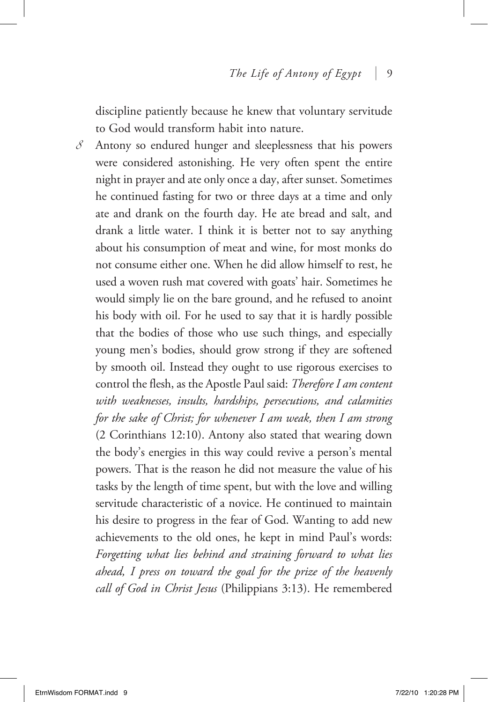discipline patiently because he knew that voluntary servitude to God would transform habit into nature.

 $\delta$  Antony so endured hunger and sleeplessness that his powers were considered astonishing. He very often spent the entire night in prayer and ate only once a day, after sunset. Sometimes he continued fasting for two or three days at a time and only ate and drank on the fourth day. He ate bread and salt, and drank a little water. I think it is better not to say anything about his consumption of meat and wine, for most monks do not consume either one. When he did allow himself to rest, he used a woven rush mat covered with goats' hair. Sometimes he would simply lie on the bare ground, and he refused to anoint his body with oil. For he used to say that it is hardly possible that the bodies of those who use such things, and especially young men's bodies, should grow strong if they are softened by smooth oil. Instead they ought to use rigorous exercises to control the flesh, as the Apostle Paul said: *Therefore I am content with weaknesses, insults, hardships, persecutions, and calamities for the sake of Christ; for whenever I am weak, then I am strong*  (2 Corinthians 12:10). Antony also stated that wearing down the body's energies in this way could revive a person's mental powers. That is the reason he did not measure the value of his tasks by the length of time spent, but with the love and willing servitude characteristic of a novice. He continued to maintain his desire to progress in the fear of God. Wanting to add new achievements to the old ones, he kept in mind Paul's words: *Forgetting what lies behind and straining forward to what lies ahead, I press on toward the goal for the prize of the heavenly call of God in Christ Jesus* (Philippians 3:13). He remembered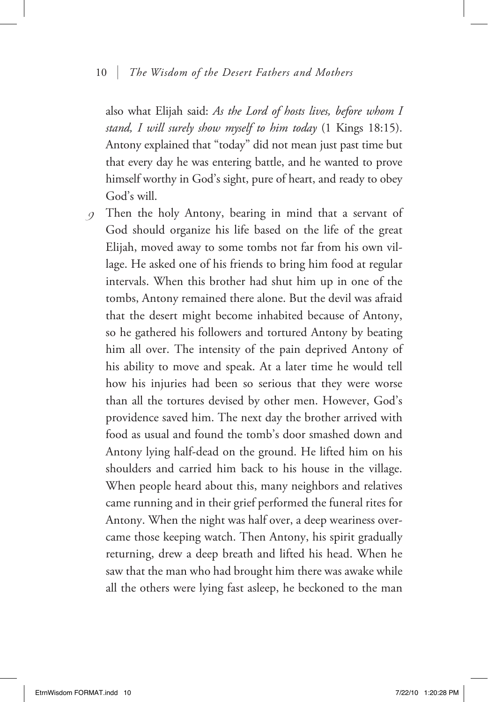also what Elijah said: *As the Lord of hosts lives, before whom I stand, I will surely show myself to him today* (1 Kings 18:15). Antony explained that "today" did not mean just past time but that every day he was entering battle, and he wanted to prove himself worthy in God's sight, pure of heart, and ready to obey God's will.

 9 Then the holy Antony, bearing in mind that a servant of God should organize his life based on the life of the great Elijah, moved away to some tombs not far from his own village. He asked one of his friends to bring him food at regular intervals. When this brother had shut him up in one of the tombs, Antony remained there alone. But the devil was afraid that the desert might become inhabited because of Antony, so he gathered his followers and tortured Antony by beating him all over. The intensity of the pain deprived Antony of his ability to move and speak. At a later time he would tell how his injuries had been so serious that they were worse than all the tortures devised by other men. However, God's providence saved him. The next day the brother arrived with food as usual and found the tomb's door smashed down and Antony lying half-dead on the ground. He lifted him on his shoulders and carried him back to his house in the village. When people heard about this, many neighbors and relatives came running and in their grief performed the funeral rites for Antony. When the night was half over, a deep weariness overcame those keeping watch. Then Antony, his spirit gradually returning, drew a deep breath and lifted his head. When he saw that the man who had brought him there was awake while all the others were lying fast asleep, he beckoned to the man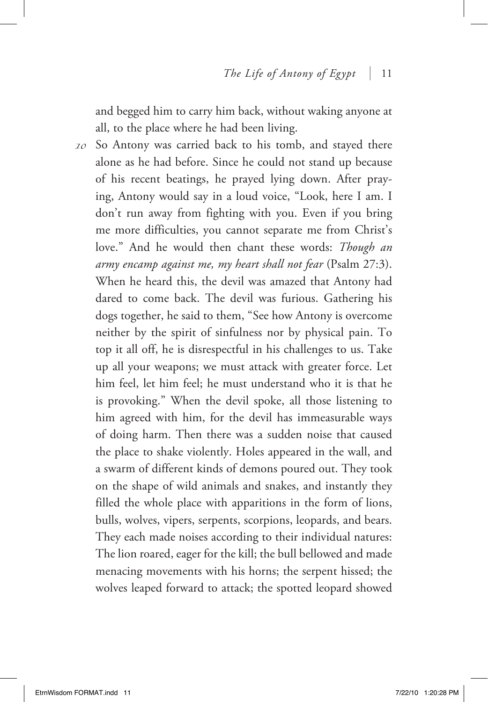and begged him to carry him back, without waking anyone at all, to the place where he had been living.

10 So Antony was carried back to his tomb, and stayed there alone as he had before. Since he could not stand up because of his recent beatings, he prayed lying down. After praying, Antony would say in a loud voice, "Look, here I am. I don't run away from fighting with you. Even if you bring me more difficulties, you cannot separate me from Christ's love." And he would then chant these words: *Though an army encamp against me, my heart shall not fear* (Psalm 27:3). When he heard this, the devil was amazed that Antony had dared to come back. The devil was furious. Gathering his dogs together, he said to them, "See how Antony is overcome neither by the spirit of sinfulness nor by physical pain. To top it all off, he is disrespectful in his challenges to us. Take up all your weapons; we must attack with greater force. Let him feel, let him feel; he must understand who it is that he is provoking." When the devil spoke, all those listening to him agreed with him, for the devil has immeasurable ways of doing harm. Then there was a sudden noise that caused the place to shake violently. Holes appeared in the wall, and a swarm of different kinds of demons poured out. They took on the shape of wild animals and snakes, and instantly they filled the whole place with apparitions in the form of lions, bulls, wolves, vipers, serpents, scorpions, leopards, and bears. They each made noises according to their individual natures: The lion roared, eager for the kill; the bull bellowed and made menacing movements with his horns; the serpent hissed; the wolves leaped forward to attack; the spotted leopard showed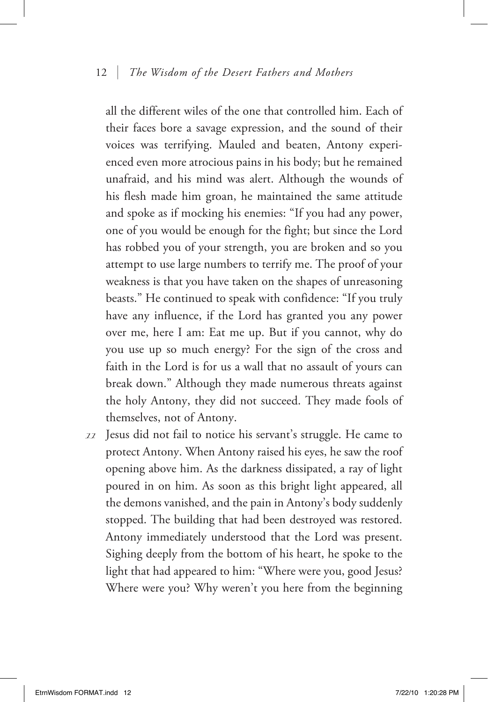all the different wiles of the one that controlled him. Each of their faces bore a savage expression, and the sound of their voices was terrifying. Mauled and beaten, Antony experienced even more atrocious pains in his body; but he remained unafraid, and his mind was alert. Although the wounds of his flesh made him groan, he maintained the same attitude and spoke as if mocking his enemies: "If you had any power, one of you would be enough for the fight; but since the Lord has robbed you of your strength, you are broken and so you attempt to use large numbers to terrify me. The proof of your weakness is that you have taken on the shapes of unreasoning beasts." He continued to speak with confidence: "If you truly have any influence, if the Lord has granted you any power over me, here I am: Eat me up. But if you cannot, why do you use up so much energy? For the sign of the cross and faith in the Lord is for us a wall that no assault of yours can break down." Although they made numerous threats against the holy Antony, they did not succeed. They made fools of themselves, not of Antony.

11 Jesus did not fail to notice his servant's struggle. He came to protect Antony. When Antony raised his eyes, he saw the roof opening above him. As the darkness dissipated, a ray of light poured in on him. As soon as this bright light appeared, all the demons vanished, and the pain in Antony's body suddenly stopped. The building that had been destroyed was restored. Antony immediately understood that the Lord was present. Sighing deeply from the bottom of his heart, he spoke to the light that had appeared to him: "Where were you, good Jesus? Where were you? Why weren't you here from the beginning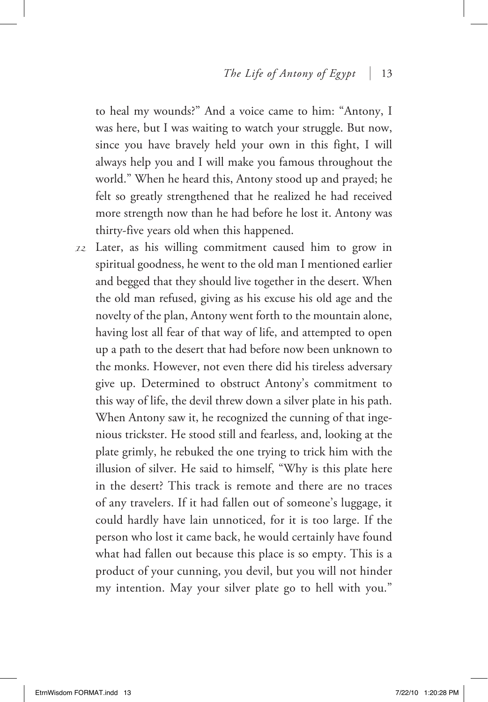to heal my wounds?" And a voice came to him: "Antony, I was here, but I was waiting to watch your struggle. But now, since you have bravely held your own in this fight, I will always help you and I will make you famous throughout the world." When he heard this, Antony stood up and prayed; he felt so greatly strengthened that he realized he had received more strength now than he had before he lost it. Antony was thirty-five years old when this happened.

12 Later, as his willing commitment caused him to grow in spiritual goodness, he went to the old man I mentioned earlier and begged that they should live together in the desert. When the old man refused, giving as his excuse his old age and the novelty of the plan, Antony went forth to the mountain alone, having lost all fear of that way of life, and attempted to open up a path to the desert that had before now been unknown to the monks. However, not even there did his tireless adversary give up. Determined to obstruct Antony's commitment to this way of life, the devil threw down a silver plate in his path. When Antony saw it, he recognized the cunning of that ingenious trickster. He stood still and fearless, and, looking at the plate grimly, he rebuked the one trying to trick him with the illusion of silver. He said to himself, "Why is this plate here in the desert? This track is remote and there are no traces of any travelers. If it had fallen out of someone's luggage, it could hardly have lain unnoticed, for it is too large. If the person who lost it came back, he would certainly have found what had fallen out because this place is so empty. This is a product of your cunning, you devil, but you will not hinder my intention. May your silver plate go to hell with you."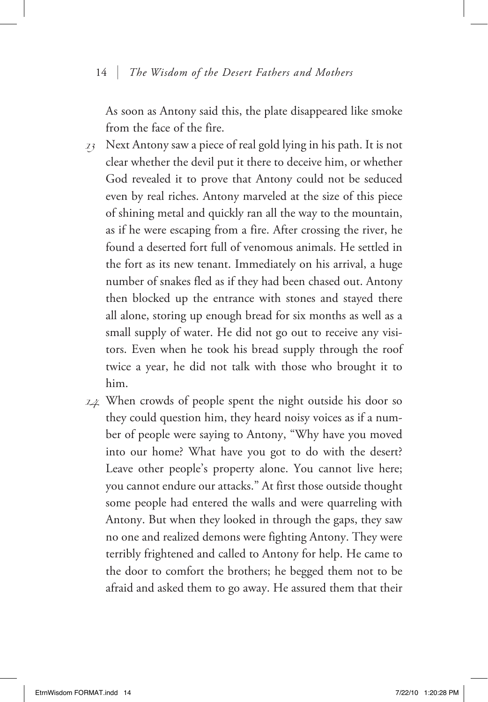As soon as Antony said this, the plate disappeared like smoke from the face of the fire.

- 13 Next Antony saw a piece of real gold lying in his path. It is not clear whether the devil put it there to deceive him, or whether God revealed it to prove that Antony could not be seduced even by real riches. Antony marveled at the size of this piece of shining metal and quickly ran all the way to the mountain, as if he were escaping from a fire. After crossing the river, he found a deserted fort full of venomous animals. He settled in the fort as its new tenant. Immediately on his arrival, a huge number of snakes fled as if they had been chased out. Antony then blocked up the entrance with stones and stayed there all alone, storing up enough bread for six months as well as a small supply of water. He did not go out to receive any visitors. Even when he took his bread supply through the roof twice a year, he did not talk with those who brought it to him.
- $1/4$  When crowds of people spent the night outside his door so they could question him, they heard noisy voices as if a number of people were saying to Antony, "Why have you moved into our home? What have you got to do with the desert? Leave other people's property alone. You cannot live here; you cannot endure our attacks." At first those outside thought some people had entered the walls and were quarreling with Antony. But when they looked in through the gaps, they saw no one and realized demons were fighting Antony. They were terribly frightened and called to Antony for help. He came to the door to comfort the brothers; he begged them not to be afraid and asked them to go away. He assured them that their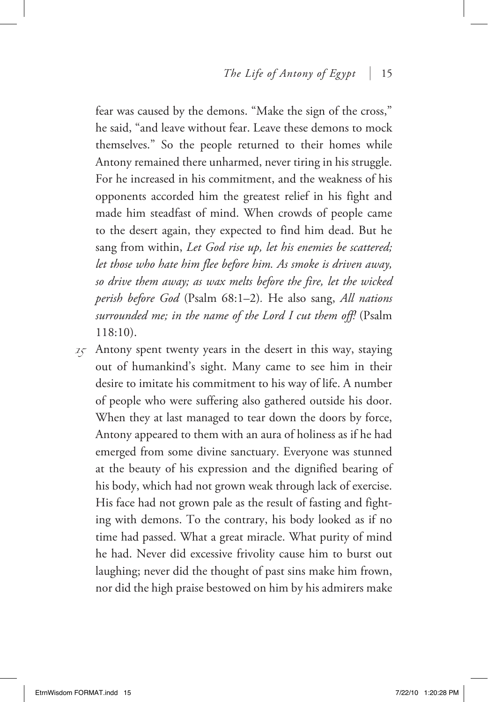fear was caused by the demons. "Make the sign of the cross," he said, "and leave without fear. Leave these demons to mock themselves." So the people returned to their homes while Antony remained there unharmed, never tiring in his struggle. For he increased in his commitment, and the weakness of his opponents accorded him the greatest relief in his fight and made him steadfast of mind. When crowds of people came to the desert again, they expected to find him dead. But he sang from within, *Let God rise up, let his enemies be scattered; let those who hate him flee before him. As smoke is driven away, so drive them away; as wax melts before the fire, let the wicked perish before God* (Psalm 68:1–2)*.* He also sang, *All nations surrounded me; in the name of the Lord I cut them off!* (Psalm 118:10).

 $15<sup>7</sup>$  Antony spent twenty years in the desert in this way, staying out of humankind's sight. Many came to see him in their desire to imitate his commitment to his way of life. A number of people who were suffering also gathered outside his door. When they at last managed to tear down the doors by force, Antony appeared to them with an aura of holiness as if he had emerged from some divine sanctuary. Everyone was stunned at the beauty of his expression and the dignified bearing of his body, which had not grown weak through lack of exercise. His face had not grown pale as the result of fasting and fighting with demons. To the contrary, his body looked as if no time had passed. What a great miracle. What purity of mind he had. Never did excessive frivolity cause him to burst out laughing; never did the thought of past sins make him frown, nor did the high praise bestowed on him by his admirers make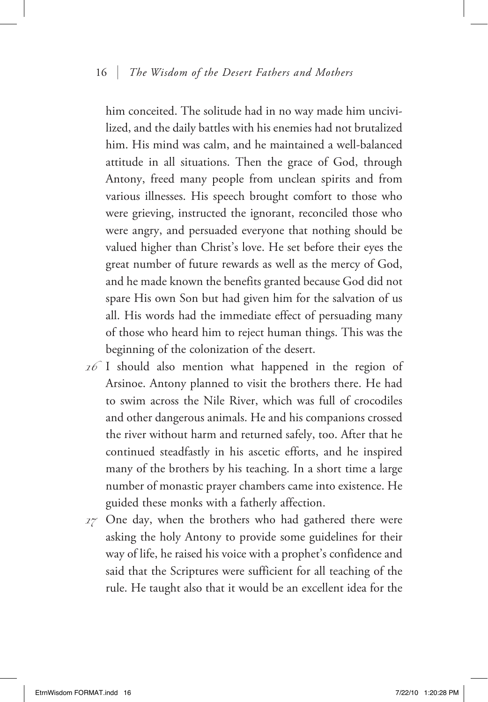him conceited. The solitude had in no way made him uncivilized, and the daily battles with his enemies had not brutalized him. His mind was calm, and he maintained a well-balanced attitude in all situations. Then the grace of God, through Antony, freed many people from unclean spirits and from various illnesses. His speech brought comfort to those who were grieving, instructed the ignorant, reconciled those who were angry, and persuaded everyone that nothing should be valued higher than Christ's love. He set before their eyes the great number of future rewards as well as the mercy of God, and he made known the benefits granted because God did not spare His own Son but had given him for the salvation of us all. His words had the immediate effect of persuading many of those who heard him to reject human things. This was the beginning of the colonization of the desert.

- $16$  I should also mention what happened in the region of Arsinoe. Antony planned to visit the brothers there. He had to swim across the Nile River, which was full of crocodiles and other dangerous animals. He and his companions crossed the river without harm and returned safely, too. After that he continued steadfastly in his ascetic efforts, and he inspired many of the brothers by his teaching. In a short time a large number of monastic prayer chambers came into existence. He guided these monks with a fatherly affection.
- $17$  One day, when the brothers who had gathered there were asking the holy Antony to provide some guidelines for their way of life, he raised his voice with a prophet's confidence and said that the Scriptures were sufficient for all teaching of the rule. He taught also that it would be an excellent idea for the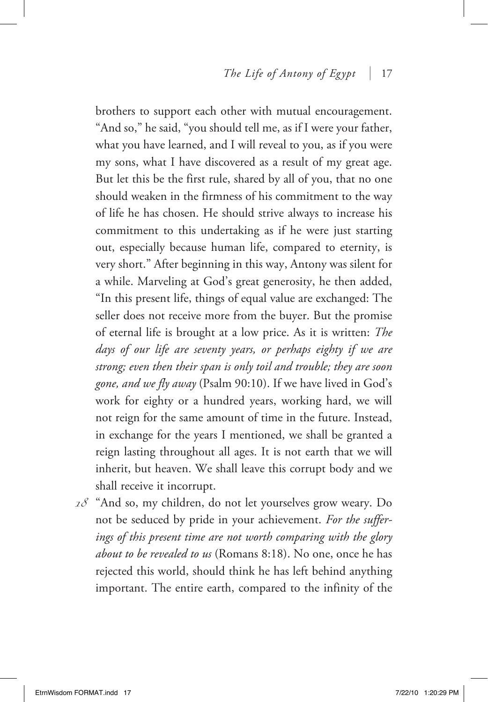brothers to support each other with mutual encouragement. "And so," he said, "you should tell me, as if I were your father, what you have learned, and I will reveal to you, as if you were my sons, what I have discovered as a result of my great age. But let this be the first rule, shared by all of you, that no one should weaken in the firmness of his commitment to the way of life he has chosen. He should strive always to increase his commitment to this undertaking as if he were just starting out, especially because human life, compared to eternity, is very short." After beginning in this way, Antony was silent for a while. Marveling at God's great generosity, he then added, "In this present life, things of equal value are exchanged: The seller does not receive more from the buyer. But the promise of eternal life is brought at a low price. As it is written: *The days of our life are seventy years, or perhaps eighty if we are strong; even then their span is only toil and trouble; they are soon gone, and we fly away* (Psalm 90:10). If we have lived in God's work for eighty or a hundred years, working hard, we will not reign for the same amount of time in the future. Instead, in exchange for the years I mentioned, we shall be granted a reign lasting throughout all ages. It is not earth that we will inherit, but heaven. We shall leave this corrupt body and we shall receive it incorrupt.

18 "And so, my children, do not let yourselves grow weary. Do not be seduced by pride in your achievement. *For the sufferings of this present time are not worth comparing with the glory about to be revealed to us* (Romans 8:18). No one, once he has rejected this world, should think he has left behind anything important. The entire earth, compared to the infinity of the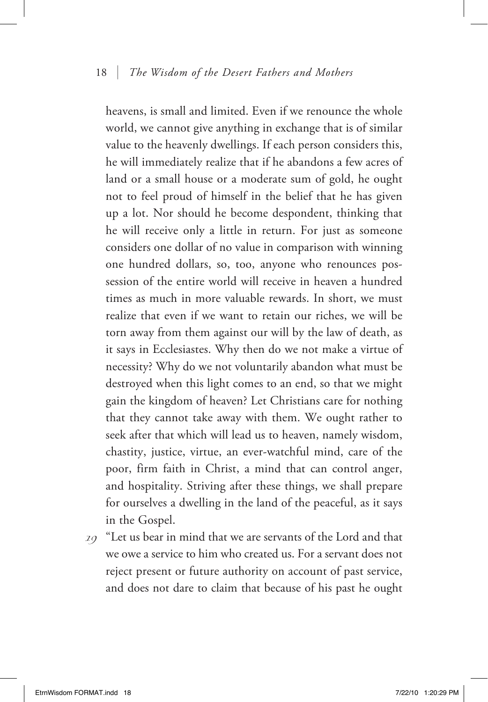heavens, is small and limited. Even if we renounce the whole world, we cannot give anything in exchange that is of similar value to the heavenly dwellings. If each person considers this, he will immediately realize that if he abandons a few acres of land or a small house or a moderate sum of gold, he ought not to feel proud of himself in the belief that he has given up a lot. Nor should he become despondent, thinking that he will receive only a little in return. For just as someone considers one dollar of no value in comparison with winning one hundred dollars, so, too, anyone who renounces possession of the entire world will receive in heaven a hundred times as much in more valuable rewards. In short, we must realize that even if we want to retain our riches, we will be torn away from them against our will by the law of death, as it says in Ecclesiastes. Why then do we not make a virtue of necessity? Why do we not voluntarily abandon what must be destroyed when this light comes to an end, so that we might gain the kingdom of heaven? Let Christians care for nothing that they cannot take away with them. We ought rather to seek after that which will lead us to heaven, namely wisdom, chastity, justice, virtue, an ever-watchful mind, care of the poor, firm faith in Christ, a mind that can control anger, and hospitality. Striving after these things, we shall prepare for ourselves a dwelling in the land of the peaceful, as it says in the Gospel.

19 "Let us bear in mind that we are servants of the Lord and that we owe a service to him who created us. For a servant does not reject present or future authority on account of past service, and does not dare to claim that because of his past he ought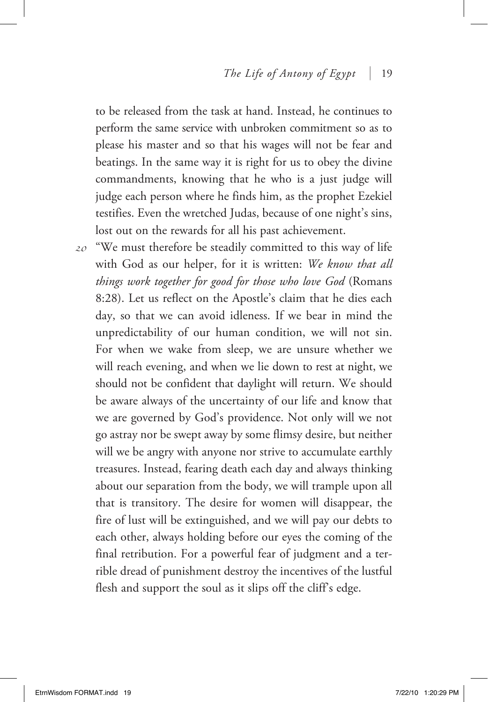to be released from the task at hand. Instead, he continues to perform the same service with unbroken commitment so as to please his master and so that his wages will not be fear and beatings. In the same way it is right for us to obey the divine commandments, knowing that he who is a just judge will judge each person where he finds him, as the prophet Ezekiel testifies. Even the wretched Judas, because of one night's sins, lost out on the rewards for all his past achievement.

20 "We must therefore be steadily committed to this way of life with God as our helper, for it is written: *We know that all things work together for good for those who love God* (Romans 8:28). Let us reflect on the Apostle's claim that he dies each day, so that we can avoid idleness. If we bear in mind the unpredictability of our human condition, we will not sin. For when we wake from sleep, we are unsure whether we will reach evening, and when we lie down to rest at night, we should not be confident that daylight will return. We should be aware always of the uncertainty of our life and know that we are governed by God's providence. Not only will we not go astray nor be swept away by some flimsy desire, but neither will we be angry with anyone nor strive to accumulate earthly treasures. Instead, fearing death each day and always thinking about our separation from the body, we will trample upon all that is transitory. The desire for women will disappear, the fire of lust will be extinguished, and we will pay our debts to each other, always holding before our eyes the coming of the final retribution. For a powerful fear of judgment and a terrible dread of punishment destroy the incentives of the lustful flesh and support the soul as it slips off the cliff's edge.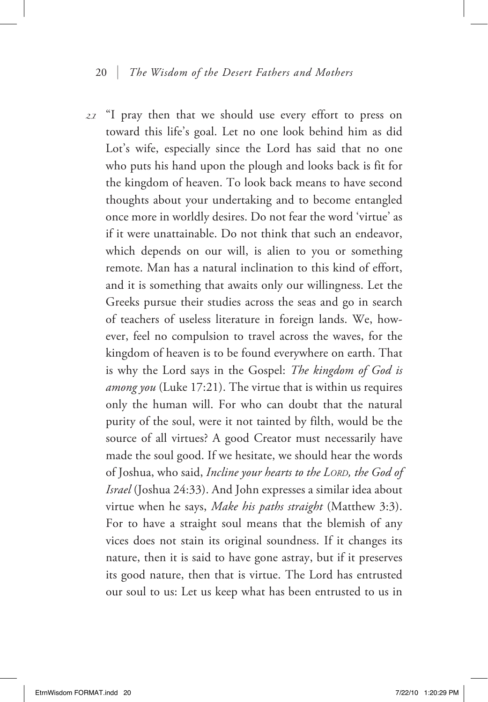21 "I pray then that we should use every effort to press on toward this life's goal. Let no one look behind him as did Lot's wife, especially since the Lord has said that no one who puts his hand upon the plough and looks back is fit for the kingdom of heaven. To look back means to have second thoughts about your undertaking and to become entangled once more in worldly desires. Do not fear the word 'virtue' as if it were unattainable. Do not think that such an endeavor, which depends on our will, is alien to you or something remote. Man has a natural inclination to this kind of effort, and it is something that awaits only our willingness. Let the Greeks pursue their studies across the seas and go in search of teachers of useless literature in foreign lands. We, however, feel no compulsion to travel across the waves, for the kingdom of heaven is to be found everywhere on earth. That is why the Lord says in the Gospel: *The kingdom of God is among you* (Luke 17:21). The virtue that is within us requires only the human will. For who can doubt that the natural purity of the soul, were it not tainted by filth, would be the source of all virtues? A good Creator must necessarily have made the soul good. If we hesitate, we should hear the words of Joshua, who said, *Incline your hearts to the Lord, the God of Israel* (Joshua 24:33). And John expresses a similar idea about virtue when he says, *Make his paths straight* (Matthew 3:3). For to have a straight soul means that the blemish of any vices does not stain its original soundness. If it changes its nature, then it is said to have gone astray, but if it preserves its good nature, then that is virtue. The Lord has entrusted our soul to us: Let us keep what has been entrusted to us in